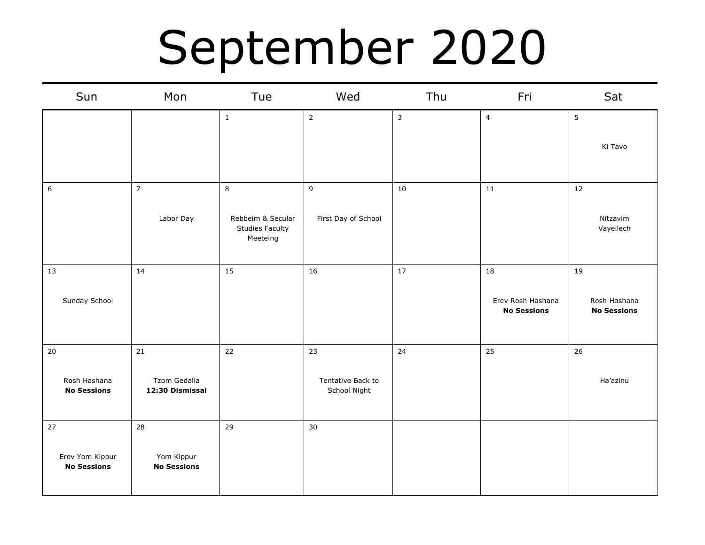### September 2020

| Sun                                         | Mon                                    | Tue                                                          | Wed                                     | Thu          | Fri                                           | Sat                                      |
|---------------------------------------------|----------------------------------------|--------------------------------------------------------------|-----------------------------------------|--------------|-----------------------------------------------|------------------------------------------|
|                                             |                                        | $\mathbf{1}$                                                 | $\overline{2}$                          | $\mathbf{3}$ | $\overline{\mathbf{4}}$                       | 5<br>Ki Tavo                             |
| $\boldsymbol{6}$                            | $\overline{7}$<br>Labor Day            | 8<br>Rebbeim & Secular<br><b>Studies Faculty</b><br>Meeteing | 9<br>First Day of School                | 10           | 11                                            | 12<br>Nitzavim<br>Vayeilech              |
| 13<br>Sunday School                         | 14                                     | 15                                                           | 16                                      | 17           | 18<br>Erev Rosh Hashana<br><b>No Sessions</b> | 19<br>Rosh Hashana<br><b>No Sessions</b> |
| 20<br>Rosh Hashana<br><b>No Sessions</b>    | 21<br>Tzom Gedalia<br>12:30 Dismissal  | 22                                                           | 23<br>Tentative Back to<br>School Night | 24           | 25                                            | 26<br>Ha'azinu                           |
| 27<br>Erev Yom Kippur<br><b>No Sessions</b> | 28<br>Yom Kippur<br><b>No Sessions</b> | 29                                                           | 30                                      |              |                                               |                                          |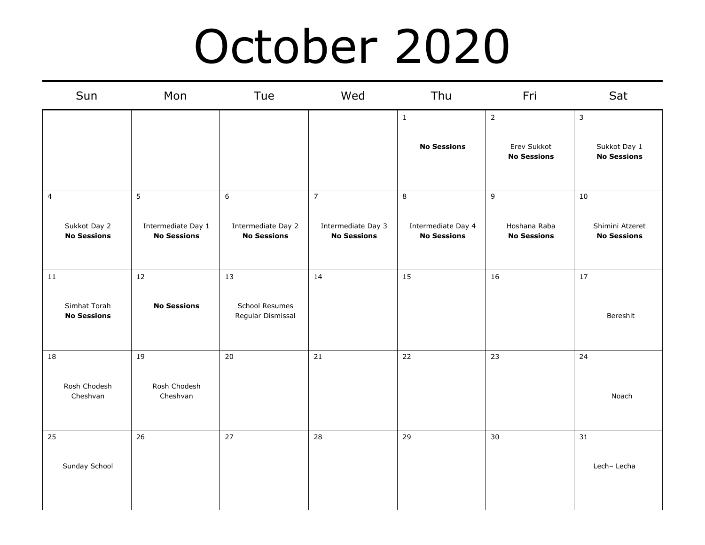### October 2020

|                | Sun                                | Mon                                           | Tue                                           | Wed                                                        | Thu                                           | Fri                                                 | Sat                                                |
|----------------|------------------------------------|-----------------------------------------------|-----------------------------------------------|------------------------------------------------------------|-----------------------------------------------|-----------------------------------------------------|----------------------------------------------------|
|                |                                    |                                               |                                               |                                                            | $\mathbf{1}$<br><b>No Sessions</b>            | $\overline{2}$<br>Erev Sukkot<br><b>No Sessions</b> | $\mathsf{3}$<br>Sukkot Day 1<br><b>No Sessions</b> |
| $\overline{4}$ | Sukkot Day 2<br><b>No Sessions</b> | 5<br>Intermediate Day 1<br><b>No Sessions</b> | 6<br>Intermediate Day 2<br><b>No Sessions</b> | $\overline{7}$<br>Intermediate Day 3<br><b>No Sessions</b> | 8<br>Intermediate Day 4<br><b>No Sessions</b> | $\mathsf g$<br>Hoshana Raba<br><b>No Sessions</b>   | 10<br>Shimini Atzeret<br><b>No Sessions</b>        |
| 11             | Simhat Torah<br><b>No Sessions</b> | 12<br><b>No Sessions</b>                      | 13<br>School Resumes<br>Regular Dismissal     | 14                                                         | 15                                            | 16                                                  | 17<br>Bereshit                                     |
| 18             | Rosh Chodesh<br>Cheshvan           | 19<br>Rosh Chodesh<br>Cheshvan                | 20                                            | 21                                                         | 22                                            | 23                                                  | 24<br>Noach                                        |
| 25             | Sunday School                      | 26                                            | 27                                            | 28                                                         | 29                                            | 30                                                  | 31<br>Lech-Lecha                                   |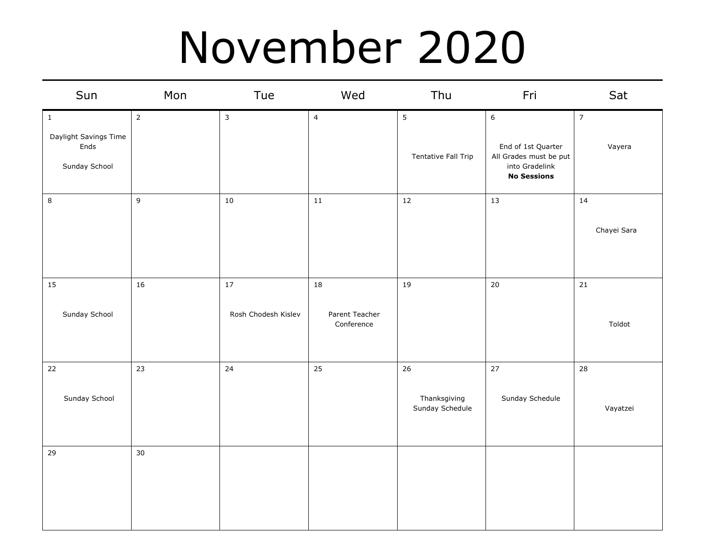#### November 2020

| Sun                                                           | Mon            | Tue                           | Wed                                | Thu                                    | Fri                                                                                                      | Sat                      |
|---------------------------------------------------------------|----------------|-------------------------------|------------------------------------|----------------------------------------|----------------------------------------------------------------------------------------------------------|--------------------------|
| $\,$ 1 $\,$<br>Daylight Savings Time<br>Ends<br>Sunday School | $\overline{2}$ | $\mathsf{3}$                  | $\overline{4}$                     | $5\phantom{.0}$<br>Tentative Fall Trip | $\boldsymbol{6}$<br>End of 1st Quarter<br>All Grades must be put<br>into Gradelink<br><b>No Sessions</b> | $\overline{7}$<br>Vayera |
| $\bf 8$                                                       | 9              | $10\,$                        | 11                                 | $12\,$                                 | 13                                                                                                       | 14<br>Chayei Sara        |
| 15<br>Sunday School                                           | 16             | $17\,$<br>Rosh Chodesh Kislev | 18<br>Parent Teacher<br>Conference | 19                                     | $20\,$                                                                                                   | 21<br>Toldot             |
| $22\,$<br>Sunday School                                       | 23             | 24                            | 25                                 | 26<br>Thanksgiving<br>Sunday Schedule  | 27<br>Sunday Schedule                                                                                    | 28<br>Vayatzei           |
| 29                                                            | 30             |                               |                                    |                                        |                                                                                                          |                          |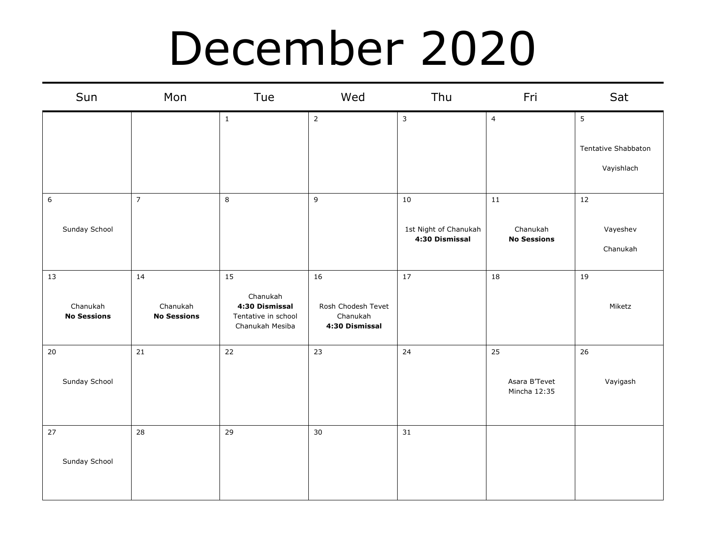### December 2020

| Sun                            | Mon                            | Tue                                                                  | Wed                                              | Thu                                     | Fri                            | Sat                  |
|--------------------------------|--------------------------------|----------------------------------------------------------------------|--------------------------------------------------|-----------------------------------------|--------------------------------|----------------------|
|                                |                                | $\mathbf{1}$                                                         | $\overline{2}$                                   | $\mathbf{3}$                            | $\overline{4}$                 | 5                    |
|                                |                                |                                                                      |                                                  |                                         |                                | Tentative Shabbaton  |
|                                |                                |                                                                      |                                                  |                                         |                                | Vayishlach           |
| $\boldsymbol{6}$               | $\overline{7}$                 | $\,8\,$                                                              | $\overline{9}$                                   | $10\,$                                  | 11                             | 12                   |
| Sunday School                  |                                |                                                                      |                                                  | 1st Night of Chanukah<br>4:30 Dismissal | Chanukah<br><b>No Sessions</b> | Vayeshev<br>Chanukah |
| 13                             | 14                             | 15                                                                   | 16                                               | 17                                      | 18                             | 19                   |
| Chanukah<br><b>No Sessions</b> | Chanukah<br><b>No Sessions</b> | Chanukah<br>4:30 Dismissal<br>Tentative in school<br>Chanukah Mesiba | Rosh Chodesh Tevet<br>Chanukah<br>4:30 Dismissal |                                         |                                | Miketz               |
| $20\,$                         | 21                             | 22                                                                   | 23                                               | 24                                      | 25                             | 26                   |
| Sunday School                  |                                |                                                                      |                                                  |                                         | Asara B'Tevet<br>Mincha 12:35  | Vayigash             |
| 27                             | 28                             | 29                                                                   | 30                                               | 31                                      |                                |                      |
| Sunday School                  |                                |                                                                      |                                                  |                                         |                                |                      |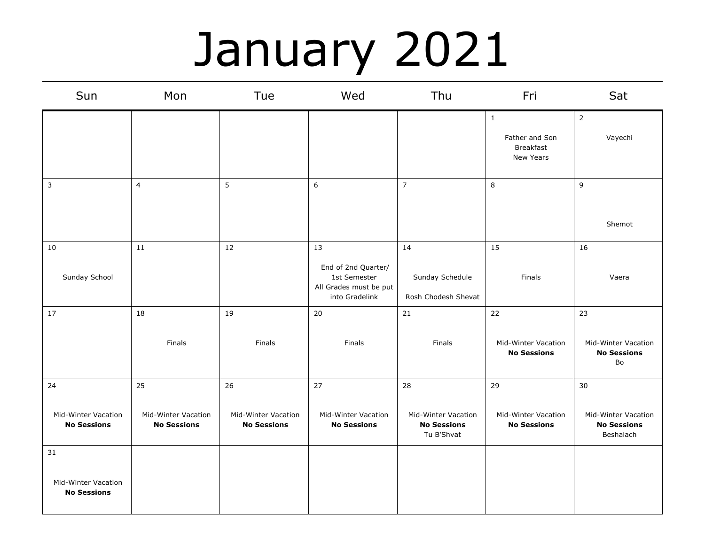# January 2021

| Sun                                             | Mon                                       | Tue                                              | Wed                                                                                   | Thu                                                     | Fri                                                      | Sat                                                    |
|-------------------------------------------------|-------------------------------------------|--------------------------------------------------|---------------------------------------------------------------------------------------|---------------------------------------------------------|----------------------------------------------------------|--------------------------------------------------------|
|                                                 |                                           |                                                  |                                                                                       |                                                         | $\mathbf{1}$<br>Father and Son<br>Breakfast<br>New Years | $\overline{2}$<br>Vayechi                              |
| 3                                               | $\overline{4}$                            | 5                                                | 6                                                                                     | $\overline{7}$                                          | 8                                                        | 9<br>Shemot                                            |
| 10<br>Sunday School                             | ${\bf 11}$                                | 12                                               | 13<br>End of 2nd Quarter/<br>1st Semester<br>All Grades must be put<br>into Gradelink | 14<br>Sunday Schedule<br>Rosh Chodesh Shevat            | 15<br>Finals                                             | 16<br>Vaera                                            |
| 17                                              | 18                                        | 19                                               | 20                                                                                    | 21                                                      | 22                                                       | 23                                                     |
|                                                 | Finals                                    | Finals                                           | Finals                                                                                | Finals                                                  | Mid-Winter Vacation<br><b>No Sessions</b>                | Mid-Winter Vacation<br><b>No Sessions</b><br>Bo        |
| 24                                              | 25                                        | 26                                               | 27                                                                                    | 28                                                      | 29                                                       | 30                                                     |
| Mid-Winter Vacation<br><b>No Sessions</b>       | Mid-Winter Vacation<br><b>No Sessions</b> | <b>Mid-Winter Vacation</b><br><b>No Sessions</b> | Mid-Winter Vacation<br><b>No Sessions</b>                                             | Mid-Winter Vacation<br><b>No Sessions</b><br>Tu B'Shvat | Mid-Winter Vacation<br><b>No Sessions</b>                | Mid-Winter Vacation<br><b>No Sessions</b><br>Beshalach |
| 31<br>Mid-Winter Vacation<br><b>No Sessions</b> |                                           |                                                  |                                                                                       |                                                         |                                                          |                                                        |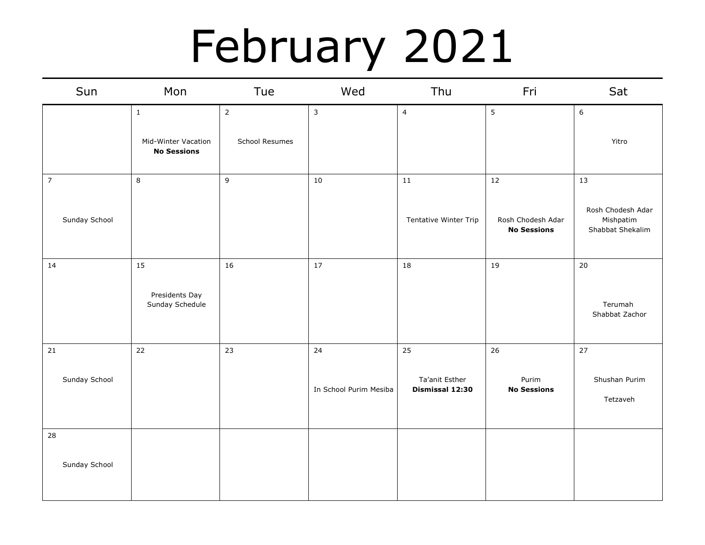### February 2021

| Sun            | Mon                                       | Tue            | Wed                    | Thu                               | Fri                                     | Sat                                                |
|----------------|-------------------------------------------|----------------|------------------------|-----------------------------------|-----------------------------------------|----------------------------------------------------|
|                | $\mathbf 1$                               | $\overline{2}$ | $\mathbf{3}$           | $\overline{4}$                    | 5                                       | $\,$ 6 $\,$                                        |
|                | Mid-Winter Vacation<br><b>No Sessions</b> | School Resumes |                        |                                   |                                         | Yitro                                              |
| $\overline{7}$ | $\,8\,$                                   | $\overline{9}$ | 10                     | 11                                | 12                                      | 13                                                 |
| Sunday School  |                                           |                |                        | Tentative Winter Trip             | Rosh Chodesh Adar<br><b>No Sessions</b> | Rosh Chodesh Adar<br>Mishpatim<br>Shabbat Shekalim |
| $14\,$         | 15                                        | 16             | $17\,$                 | 18                                | 19                                      | 20                                                 |
|                | Presidents Day<br>Sunday Schedule         |                |                        |                                   |                                         | Terumah<br>Shabbat Zachor                          |
| 21             | 22                                        | 23             | 24                     | 25                                | 26                                      | 27                                                 |
| Sunday School  |                                           |                | In School Purim Mesiba | Ta'anit Esther<br>Dismissal 12:30 | Purim<br><b>No Sessions</b>             | Shushan Purim<br>Tetzaveh                          |
| 28             |                                           |                |                        |                                   |                                         |                                                    |
| Sunday School  |                                           |                |                        |                                   |                                         |                                                    |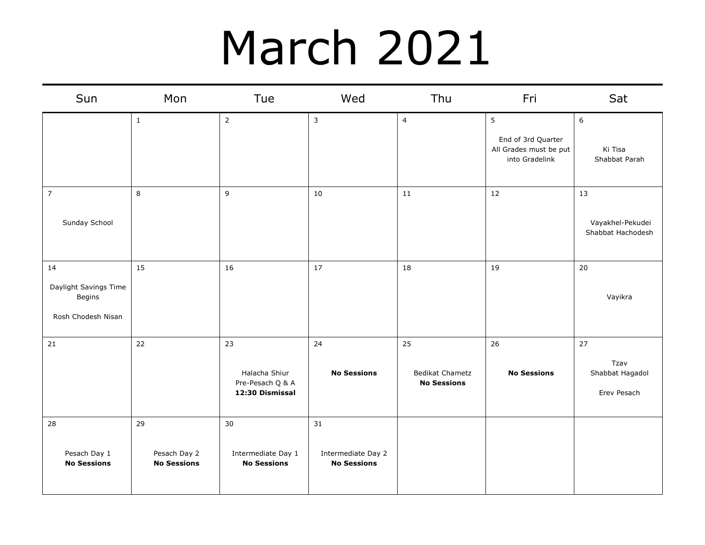### March 2021

| Sun                                                         | Mon                                      | Tue                                                        | Wed                                            | Thu                                                | Fri                                                                 | Sat                                          |
|-------------------------------------------------------------|------------------------------------------|------------------------------------------------------------|------------------------------------------------|----------------------------------------------------|---------------------------------------------------------------------|----------------------------------------------|
|                                                             | $\mathbf{1}$                             | $\overline{2}$                                             | 3                                              | $\overline{4}$                                     | 5<br>End of 3rd Quarter<br>All Grades must be put<br>into Gradelink | 6<br>Ki Tisa<br>Shabbat Parah                |
| $\overline{7}$<br>Sunday School                             | 8                                        | 9                                                          | 10                                             | 11                                                 | 12                                                                  | 13<br>Vayakhel-Pekudei<br>Shabbat Hachodesh  |
| 14<br>Daylight Savings Time<br>Begins<br>Rosh Chodesh Nisan | 15                                       | 16                                                         | 17                                             | 18                                                 | 19                                                                  | 20<br>Vayikra                                |
| 21                                                          | 22                                       | 23<br>Halacha Shiur<br>Pre-Pesach Q & A<br>12:30 Dismissal | 24<br><b>No Sessions</b>                       | 25<br><b>Bedikat Chametz</b><br><b>No Sessions</b> | 26<br><b>No Sessions</b>                                            | 27<br>Tzav<br>Shabbat Hagadol<br>Erev Pesach |
| 28<br>Pesach Day 1<br><b>No Sessions</b>                    | 29<br>Pesach Day 2<br><b>No Sessions</b> | 30<br>Intermediate Day 1<br><b>No Sessions</b>             | 31<br>Intermediate Day 2<br><b>No Sessions</b> |                                                    |                                                                     |                                              |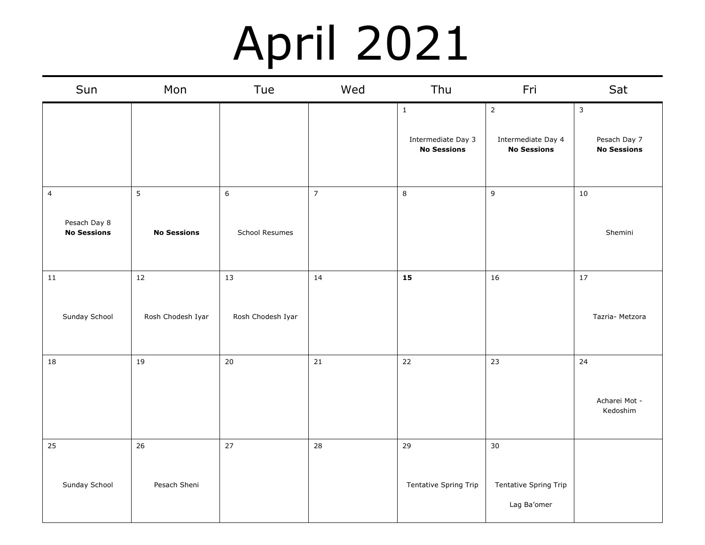### April 2021

| Sun                                                  | Mon                         | Tue                     | Wed            | Thu                                                 | Fri                                                        | Sat                                                |
|------------------------------------------------------|-----------------------------|-------------------------|----------------|-----------------------------------------------------|------------------------------------------------------------|----------------------------------------------------|
|                                                      |                             |                         |                | $\,1\,$<br>Intermediate Day 3<br><b>No Sessions</b> | $\overline{2}$<br>Intermediate Day 4<br><b>No Sessions</b> | $\mathsf{3}$<br>Pesach Day 7<br><b>No Sessions</b> |
| $\overline{4}$<br>Pesach Day 8<br><b>No Sessions</b> | 5<br><b>No Sessions</b>     | $6\,$<br>School Resumes | $\overline{7}$ | $\,8\,$                                             | $\mathsf g$                                                | $10\,$<br>Shemini                                  |
| ${\bf 11}$<br>Sunday School                          | $12\,$<br>Rosh Chodesh Iyar | 13<br>Rosh Chodesh Iyar | 14             | 15                                                  | 16                                                         | 17<br>Tazria- Metzora                              |
| 18                                                   | 19                          | 20                      | 21             | 22                                                  | 23                                                         | 24<br>Acharei Mot -<br>Kedoshim                    |
| 25<br>Sunday School                                  | 26<br>Pesach Sheni          | $27$                    | 28             | 29<br>Tentative Spring Trip                         | 30<br>Tentative Spring Trip<br>Lag Ba'omer                 |                                                    |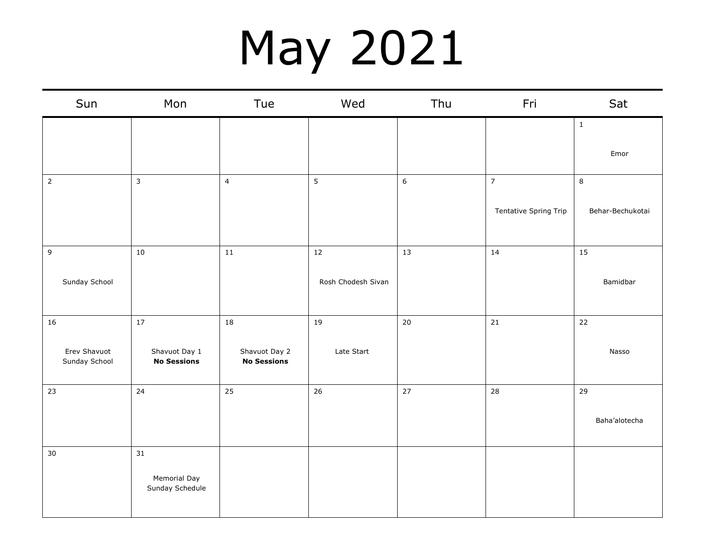# May 2021

| Sun                           | Mon                                    | Tue                                 | Wed                | Thu    | Fri                   | Sat              |
|-------------------------------|----------------------------------------|-------------------------------------|--------------------|--------|-----------------------|------------------|
|                               |                                        |                                     |                    |        |                       | $\mathbf{1}$     |
|                               |                                        |                                     |                    |        |                       | Emor             |
| $\overline{2}$                | $\overline{3}$                         | $\overline{4}$                      | 5                  | 6      | $\overline{7}$        | $\bf8$           |
|                               |                                        |                                     |                    |        | Tentative Spring Trip | Behar-Bechukotai |
| $\mathsf g$                   | $10\,$                                 | ${\bf 11}$                          | 12                 | $13\,$ | 14                    | 15               |
| Sunday School                 |                                        |                                     | Rosh Chodesh Sivan |        |                       | Bamidbar         |
| 16                            | $17\,$                                 | 18                                  | 19                 | $20\,$ | 21                    | 22               |
| Erev Shavuot<br>Sunday School | Shavuot Day 1<br><b>No Sessions</b>    | Shavuot Day 2<br><b>No Sessions</b> | Late Start         |        |                       | Nasso            |
| 23                            | 24                                     | 25                                  | 26                 | 27     | 28                    | 29               |
|                               |                                        |                                     |                    |        |                       | Baha'alotecha    |
| 30                            | 31                                     |                                     |                    |        |                       |                  |
|                               | <b>Memorial Day</b><br>Sunday Schedule |                                     |                    |        |                       |                  |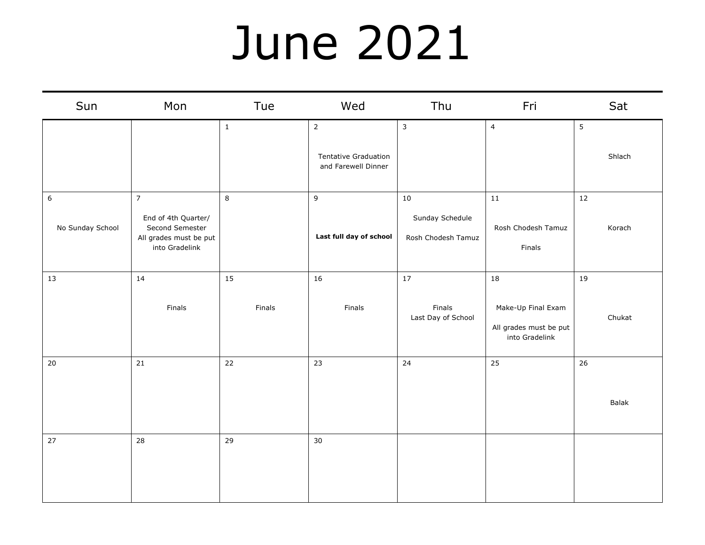#### June 2021

| Sun                                  | Mon                                                                                                  | Tue          | Wed                                                                  | Thu                                             | Fri                                                                  | Sat          |
|--------------------------------------|------------------------------------------------------------------------------------------------------|--------------|----------------------------------------------------------------------|-------------------------------------------------|----------------------------------------------------------------------|--------------|
|                                      |                                                                                                      | $\mathbf{1}$ | $\overline{2}$<br><b>Tentative Graduation</b><br>and Farewell Dinner | 3                                               | $\overline{4}$                                                       | 5<br>Shlach  |
| $\boldsymbol{6}$<br>No Sunday School | $\overline{7}$<br>End of 4th Quarter/<br>Second Semester<br>All grades must be put<br>into Gradelink | $\,8\,$      | 9<br>Last full day of school                                         | $10\,$<br>Sunday Schedule<br>Rosh Chodesh Tamuz | 11<br>Rosh Chodesh Tamuz<br>Finals                                   | 12<br>Korach |
| 13                                   | 14<br>Finals                                                                                         | 15<br>Finals | 16<br>Finals                                                         | 17<br>Finals<br>Last Day of School              | 18<br>Make-Up Final Exam<br>All grades must be put<br>into Gradelink | 19<br>Chukat |
| $20\,$                               | $21\,$                                                                                               | 22           | 23                                                                   | 24                                              | 25                                                                   | 26<br>Balak  |
| $27$                                 | 28                                                                                                   | 29           | 30                                                                   |                                                 |                                                                      |              |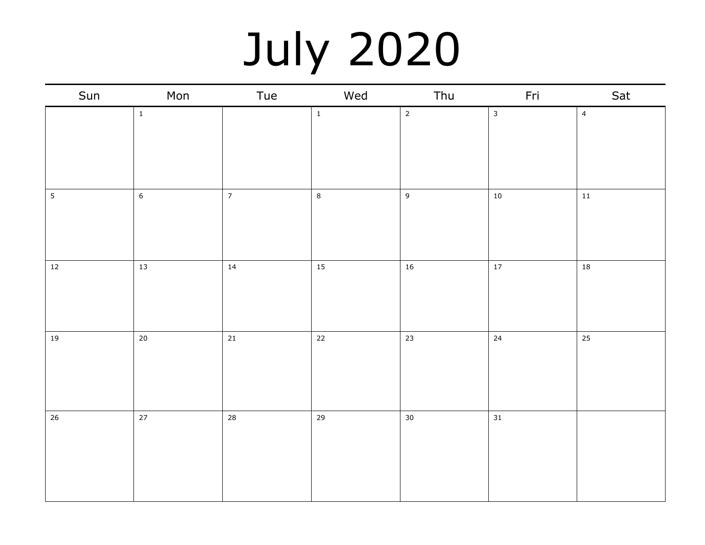## July 2020

| Sun            | Mon          | Tue            | Wed         | Thu            | Fri          | Sat              |
|----------------|--------------|----------------|-------------|----------------|--------------|------------------|
|                | $\mathbf{1}$ |                | $\mathbf 1$ | $\overline{2}$ | $\mathbf{3}$ | $\overline{4}$   |
| $\overline{5}$ | $6\,$        | $\overline{7}$ | $\bf 8$     | $\overline{9}$ | $10\,$       | $11\,$           |
| $12$           | 13           | 14             | 15          | $16\,$         | $17\,$       | 18               |
| $19\,$         | $20\,$       | $21\,$         | $22\,$      | 23             | $24\,$       | $25\phantom{.0}$ |
| 26             | 27           | 28             | 29          | $30\,$         | 31           |                  |